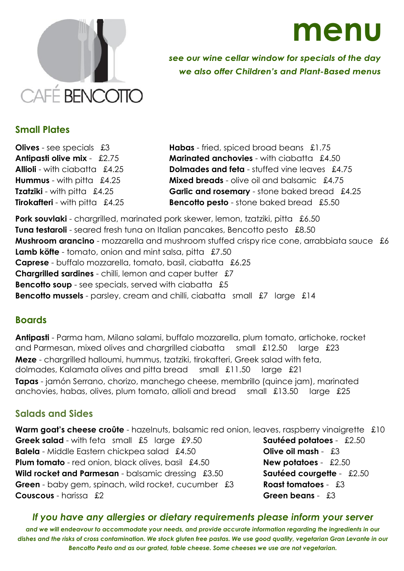

**menu**

see our wine cellar window for specials of the day we also offer Children's and Plant-Based menus

## **Small Plates**

**Olives** - see specials  $\pounds 3$  **Habas** - fried, spiced broad beans  $\pounds 1.75$ **Antipasti olive mix** - £2.75 **Marinated anchovies** - with ciabatta £4.50 **Allioli** - with ciabatta £4.25 **Dolmades and feta** - stuffed vine leaves £4.75 **Hummus** - with pitta£4.25 **Mixed breads** - olive oil and balsamic £4.75 **Tzatziki** - with pitta  $\pounds 4.25$  **Garlic and rosemary** - stone baked bread  $\pounds 4.25$ **Tirokafteri** - with pitta  $\pounds 4.25$  **Bencotto pesto** - stone baked bread  $\pounds 5.50$ 

**Pork souvlaki** - chargrilled, marinated pork skewer, lemon, tzatziki, pitta £6.50 **Tuna testaroli** - seared fresh tuna on Italian pancakes, Bencotto pesto £8.50 **Mushroom arancino** - mozzarella and mushroom stuffed crispy rice cone, arrabbiata sauce £6 **Lamb köfte** - tomato, onion and mint salsa, pitta £7.50 **Caprese** - buffalo mozzarella, tomato, basil, ciabatta £6.25 **Chargrilled sardines** - chilli, lemon and caper butter £7 **Bencotto soup** - see specials, served with ciabatta £5 **Bencotto mussels** - parsley, cream and chilli, ciabatta small £7 large £14

## **Boards**

**Antipasti** - Parma ham, Milano salami, buffalo mozzarella, plum tomato, artichoke, rocket and Parmesan, mixed olives and chargrilled ciabatta small £12.50 large £23 **Meze** - chargrilled halloumi, hummus, tzatziki, tirokafteri, Greek salad with feta, dolmades, Kalamata olives and pitta bread small £11.50 large £21 **Tapas** - jamón Serrano, chorizo, manchego cheese, membrillo (quince jam), marinated anchovies, habas, olives, plum tomato, allioli and bread small £13.50 large £25

# **Salads and Sides**

**Warm goat's cheese croûte** - hazelnuts, balsamic red onion, leaves, raspberry vinaigrette £10 **Greek salad** - with feta small £5 large £9.50 **Sautéed potatoes** - £2.50 **Balela** - Middle Eastern chickpea salad £4.50 **Olive oil mash** - £3 **Plum tomato** - red onion, black olives, basil £4.50 **New potatoes** -£2.50 **Wild rocket and Parmesan** - balsamic dressing £3.50 **Sautéed courgette** -£2.50 **Green** - baby gem, spinach, wild rocket, cucumber £3 **Roast tomatoes** - £3 **Couscous** - harissa £2 **Green beans** - £3

## *If you have any allergies or dietary requirements please inform your server*

*and we will endeavour to accommodate your needs, and provide accurate information regarding the ingredients in our dishes and the risks of cross contamination. We stock gluten free pastas. We use good quality, vegetarian Gran Levante in our Bencotto Pesto and as our grated, table cheese. Some cheeses we use are not vegetarian.*